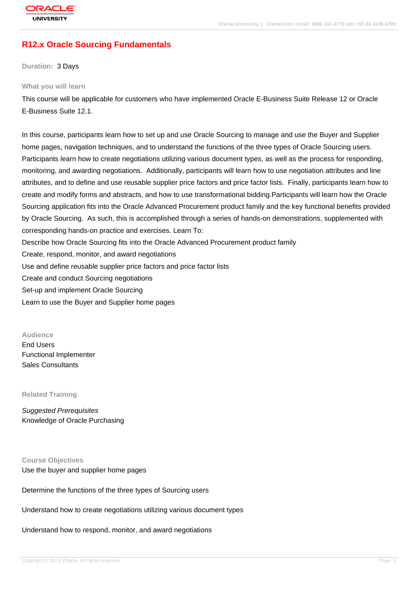# **[R12.x Oracle S](http://education.oracle.com/pls/web_prod-plq-dad/db_pages.getpage?page_id=3)ourcing Fundamentals**

#### **Duration:** 3 Days

#### **What you will learn**

This course will be applicable for customers who have implemented Oracle E-Business Suite Release 12 or Oracle E-Business Suite 12.1.

In this course, participants learn how to set up and use Oracle Sourcing to manage and use the Buyer and Supplier home pages, navigation techniques, and to understand the functions of the three types of Oracle Sourcing users. Participants learn how to create negotiations utilizing various document types, as well as the process for responding, monitoring, and awarding negotiations. Additionally, participants will learn how to use negotiation attributes and line attributes, and to define and use reusable supplier price factors and price factor lists. Finally, participants learn how to create and modify forms and abstracts, and how to use transformational bidding.Participants will learn how the Oracle Sourcing application fits into the Oracle Advanced Procurement product family and the key functional benefits provided by Oracle Sourcing. As such, this is accomplished through a series of hands-on demonstrations, supplemented with corresponding hands-on practice and exercises. Learn To: Describe how Oracle Sourcing fits into the Oracle Advanced Procurement product family Create, respond, monitor, and award negotiations Use and define reusable supplier price factors and price factor lists Create and conduct Sourcing negotiations

Set-up and implement Oracle Sourcing

Learn to use the Buyer and Supplier home pages

**Audience** End Users Functional Implementer

Sales Consultants

**Related Training**

Suggested Prerequisites Knowledge of Oracle Purchasing

**Course Objectives** Use the buyer and supplier home pages

Determine the functions of the three types of Sourcing users

Understand how to create negotiations utilizing various document types

Understand how to respond, monitor, and award negotiations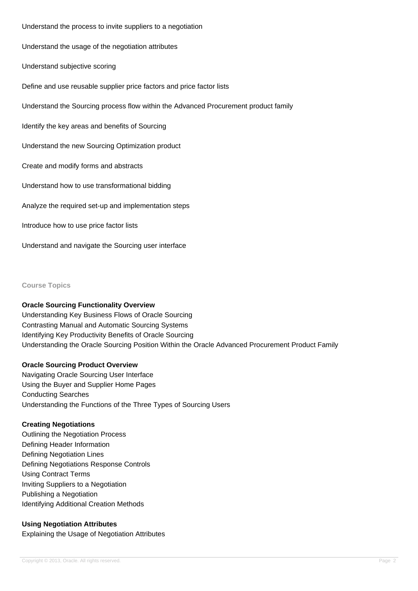Understand the process to invite suppliers to a negotiation Understand the usage of the negotiation attributes Understand subjective scoring Define and use reusable supplier price factors and price factor lists Understand the Sourcing process flow within the Advanced Procurement product family Identify the key areas and benefits of Sourcing Understand the new Sourcing Optimization product Create and modify forms and abstracts Understand how to use transformational bidding Analyze the required set-up and implementation steps Introduce how to use price factor lists

**Course Topics**

#### **Oracle Sourcing Functionality Overview**

Understand and navigate the Sourcing user interface

Understanding Key Business Flows of Oracle Sourcing Contrasting Manual and Automatic Sourcing Systems Identifying Key Productivity Benefits of Oracle Sourcing Understanding the Oracle Sourcing Position Within the Oracle Advanced Procurement Product Family

#### **Oracle Sourcing Product Overview**

Navigating Oracle Sourcing User Interface Using the Buyer and Supplier Home Pages Conducting Searches Understanding the Functions of the Three Types of Sourcing Users

## **Creating Negotiations**

Outlining the Negotiation Process Defining Header Information Defining Negotiation Lines Defining Negotiations Response Controls Using Contract Terms Inviting Suppliers to a Negotiation Publishing a Negotiation Identifying Additional Creation Methods

# **Using Negotiation Attributes**

Explaining the Usage of Negotiation Attributes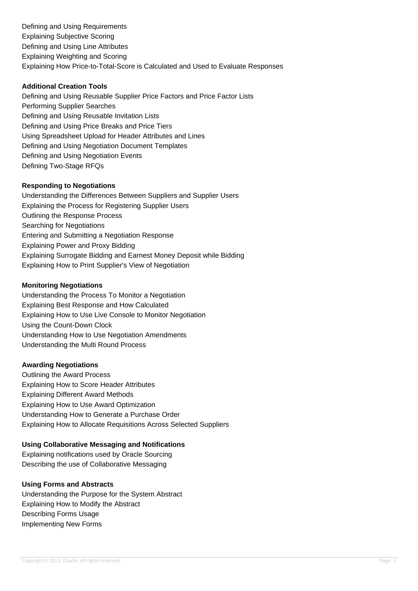Defining and Using Requirements Explaining Subjective Scoring Defining and Using Line Attributes Explaining Weighting and Scoring Explaining How Price-to-Total-Score is Calculated and Used to Evaluate Responses

## **Additional Creation Tools**

Defining and Using Reusable Supplier Price Factors and Price Factor Lists Performing Supplier Searches Defining and Using Reusable Invitation Lists Defining and Using Price Breaks and Price Tiers Using Spreadsheet Upload for Header Attributes and Lines Defining and Using Negotiation Document Templates Defining and Using Negotiation Events Defining Two-Stage RFQs

### **Responding to Negotiations**

Understanding the Differences Between Suppliers and Supplier Users Explaining the Process for Registering Supplier Users Outlining the Response Process Searching for Negotiations Entering and Submitting a Negotiation Response Explaining Power and Proxy Bidding Explaining Surrogate Bidding and Earnest Money Deposit while Bidding Explaining How to Print Supplier's View of Negotiation

### **Monitoring Negotiations**

Understanding the Process To Monitor a Negotiation Explaining Best Response and How Calculated Explaining How to Use Live Console to Monitor Negotiation Using the Count-Down Clock Understanding How to Use Negotiation Amendments Understanding the Multi Round Process

#### **Awarding Negotiations**

Outlining the Award Process Explaining How to Score Header Attributes Explaining Different Award Methods Explaining How to Use Award Optimization Understanding How to Generate a Purchase Order Explaining How to Allocate Requisitions Across Selected Suppliers

#### **Using Collaborative Messaging and Notifications**

Explaining notifications used by Oracle Sourcing Describing the use of Collaborative Messaging

## **Using Forms and Abstracts**

Understanding the Purpose for the System Abstract Explaining How to Modify the Abstract Describing Forms Usage Implementing New Forms